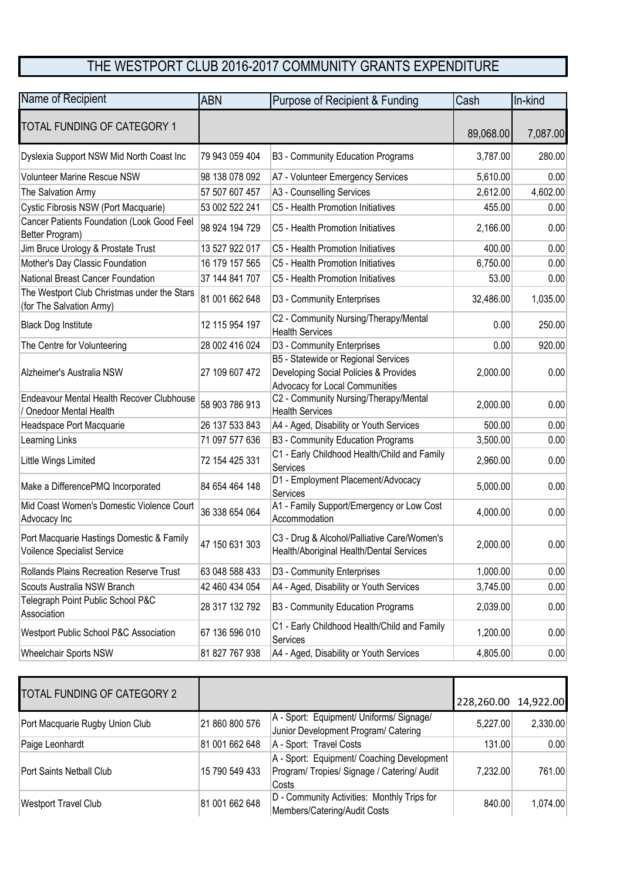## THE WESTPORT CLUB 2016-2017 COMMUNITY GRANTS EXPENDITURE

| Name of Recipient                                                        | <b>ABN</b>     | Purpose of Recipient & Funding                                                                                 | Cash      | In-kind  |
|--------------------------------------------------------------------------|----------------|----------------------------------------------------------------------------------------------------------------|-----------|----------|
| <b>TOTAL FUNDING OF CATEGORY 1</b>                                       |                |                                                                                                                | 89,068.00 | 7,087.00 |
| Dyslexia Support NSW Mid North Coast Inc                                 | 79 943 059 404 | B3 - Community Education Programs                                                                              | 3,787.00  | 280.00   |
| <b>Volunteer Marine Rescue NSW</b>                                       | 98 138 078 092 | A7 - Volunteer Emergency Services                                                                              | 5,610.00  | 0.00     |
| The Salvation Army                                                       | 57 507 607 457 | A3 - Counselling Services                                                                                      | 2,612.00  | 4,602.00 |
| Cystic Fibrosis NSW (Port Macquarie)                                     | 53 002 522 241 | C5 - Health Promotion Initiatives                                                                              | 455.00    | 0.00     |
| Cancer Patients Foundation (Look Good Feel<br>Better Program)            | 98 924 194 729 | C5 - Health Promotion Initiatives                                                                              | 2,166.00  | 0.00     |
| Jim Bruce Urology & Prostate Trust                                       | 13 527 922 017 | C5 - Health Promotion Initiatives                                                                              | 400.00    | 0.00     |
| Mother's Day Classic Foundation                                          | 16 179 157 565 | C5 - Health Promotion Initiatives                                                                              | 6,750.00  | 0.00     |
| National Breast Cancer Foundation                                        | 37 144 841 707 | C5 - Health Promotion Initiatives                                                                              | 53.00     | 0.00     |
| The Westport Club Christmas under the Stars<br>(for The Salvation Army)  | 81 001 662 648 | D3 - Community Enterprises                                                                                     | 32,486.00 | 1,035.00 |
| <b>Black Dog Institute</b>                                               | 12 115 954 197 | C2 - Community Nursing/Therapy/Mental<br><b>Health Services</b>                                                | 0.00      | 250.00   |
| The Centre for Volunteering                                              | 28 002 416 024 | D3 - Community Enterprises                                                                                     | 0.00      | 920.00   |
| Alzheimer's Australia NSW                                                | 27 109 607 472 | B5 - Statewide or Regional Services<br>Developing Social Policies & Provides<br>Advocacy for Local Communities | 2,000.00  | 0.00     |
| Endeavour Mental Health Recover Clubhouse<br>/ Onedoor Mental Health     | 58 903 786 913 | C2 - Community Nursing/Therapy/Mental<br><b>Health Services</b>                                                | 2,000.00  | 0.00     |
| Headspace Port Macquarie                                                 | 26 137 533 843 | A4 - Aged, Disability or Youth Services                                                                        | 500.00    | 0.00     |
| Learning Links                                                           | 71 097 577 636 | B3 - Community Education Programs                                                                              | 3,500.00  | 0.00     |
| Little Wings Limited                                                     | 72 154 425 331 | C1 - Early Childhood Health/Child and Family<br>Services                                                       | 2,960.00  | 0.00     |
| Make a DifferencePMQ Incorporated                                        | 84 654 464 148 | D1 - Employment Placement/Advocacy<br>Services                                                                 | 5,000.00  | 0.00     |
| Mid Coast Women's Domestic Violence Court<br>Advocacy Inc                | 36 338 654 064 | A1 - Family Support/Emergency or Low Cost<br>Accommodation                                                     | 4,000.00  | 0.00     |
| Port Macquarie Hastings Domestic & Family<br>Voilence Specialist Service | 47 150 631 303 | C3 - Drug & Alcohol/Palliative Care/Women's<br>Health/Aboriginal Health/Dental Services                        | 2,000.00  | 0.00     |
| Rollands Plains Recreation Reserve Trust                                 | 63 048 588 433 | D3 - Community Enterprises                                                                                     | 1,000.00  | 0.00     |
| Scouts Australia NSW Branch                                              | 42 460 434 054 | A4 - Aged, Disability or Youth Services                                                                        | 3,745.00  | 0.00     |
| Telegraph Point Public School P&C<br>Association                         | 28 317 132 792 | B3 - Community Education Programs                                                                              | 2,039.00  | 0.00     |
| Westport Public School P&C Association                                   | 67 136 596 010 | C1 - Early Childhood Health/Child and Family<br>Services                                                       | 1,200.00  | 0.00     |
| Wheelchair Sports NSW                                                    | 81 827 767 938 | A4 - Aged, Disability or Youth Services                                                                        | 4,805.00  | 0.00     |

| TOTAL FUNDING OF CATEGORY 2     |                |                                                                                                    | 228,260.00 14,922.00 |          |
|---------------------------------|----------------|----------------------------------------------------------------------------------------------------|----------------------|----------|
| Port Macquarie Rugby Union Club | 21 860 800 576 | A - Sport: Equipment/ Uniforms/ Signage/<br>Junior Development Program/ Catering                   | 5,227.00             | 2,330.00 |
| Paige Leonhardt                 | 81 001 662 648 | A - Sport: Travel Costs                                                                            | 131.00               | 0.00     |
| Port Saints Netball Club        | 15 790 549 433 | A - Sport: Equipment/ Coaching Development<br>Program/ Tropies/ Signage / Catering/ Audit<br>Costs | 7.232.00             | 761.00   |
| <b>Westport Travel Club</b>     | 81 001 662 648 | D - Community Activities: Monthly Trips for<br>Members/Catering/Audit Costs                        | 840.00               | 1,074.00 |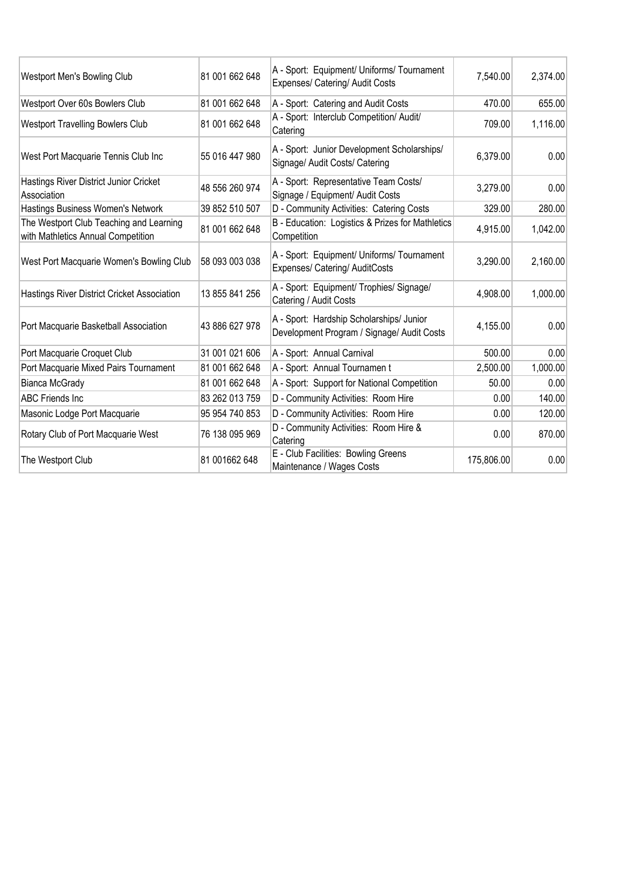| Westport Men's Bowling Club                                                   | 81 001 662 648 | A - Sport: Equipment/ Uniforms/ Tournament<br>Expenses/ Catering/ Audit Costs          | 7,540.00   | 2,374.00 |
|-------------------------------------------------------------------------------|----------------|----------------------------------------------------------------------------------------|------------|----------|
| Westport Over 60s Bowlers Club                                                | 81 001 662 648 | A - Sport: Catering and Audit Costs                                                    | 470.00     | 655.00   |
| <b>Westport Travelling Bowlers Club</b>                                       | 81 001 662 648 | A - Sport: Interclub Competition/ Audit/<br>Catering                                   | 709.00     | 1,116.00 |
| West Port Macquarie Tennis Club Inc                                           | 55 016 447 980 | A - Sport: Junior Development Scholarships/<br>Signage/ Audit Costs/ Catering          | 6,379.00   | 0.00     |
| Hastings River District Junior Cricket<br>Association                         | 48 556 260 974 | A - Sport: Representative Team Costs/<br>Signage / Equipment/ Audit Costs              | 3,279.00   | 0.00     |
| Hastings Business Women's Network                                             | 39 852 510 507 | D - Community Activities: Catering Costs                                               | 329.00     | 280.00   |
| The Westport Club Teaching and Learning<br>with Mathletics Annual Competition | 81 001 662 648 | B - Education: Logistics & Prizes for Mathletics<br>Competition                        | 4,915.00   | 1,042.00 |
| West Port Macquarie Women's Bowling Club                                      | 58 093 003 038 | A - Sport: Equipment/ Uniforms/ Tournament<br>Expenses/ Catering/ AuditCosts           | 3,290.00   | 2,160.00 |
| Hastings River District Cricket Association                                   | 13 855 841 256 | A - Sport: Equipment/ Trophies/ Signage/<br>Catering / Audit Costs                     | 4,908.00   | 1,000.00 |
| Port Macquarie Basketball Association                                         | 43 886 627 978 | A - Sport: Hardship Scholarships/ Junior<br>Development Program / Signage/ Audit Costs | 4,155.00   | 0.00     |
| Port Macquarie Croquet Club                                                   | 31 001 021 606 | A - Sport: Annual Carnival                                                             | 500.00     | 0.00     |
| Port Macquarie Mixed Pairs Tournament                                         | 81 001 662 648 | A - Sport: Annual Tournamen t                                                          | 2,500.00   | 1,000.00 |
| <b>Bianca McGrady</b>                                                         | 81 001 662 648 | A - Sport: Support for National Competition                                            | 50.00      | 0.00     |
| <b>ABC Friends Inc.</b>                                                       | 83 262 013 759 | D - Community Activities: Room Hire                                                    | 0.00       | 140.00   |
| Masonic Lodge Port Macquarie                                                  | 95 954 740 853 | D - Community Activities: Room Hire                                                    | 0.00       | 120.00   |
| Rotary Club of Port Macquarie West                                            | 76 138 095 969 | D - Community Activities: Room Hire &<br>Catering                                      | 0.00       | 870.00   |
| The Westport Club                                                             | 81 001662 648  | E - Club Facilities: Bowling Greens<br>Maintenance / Wages Costs                       | 175,806.00 | 0.00     |